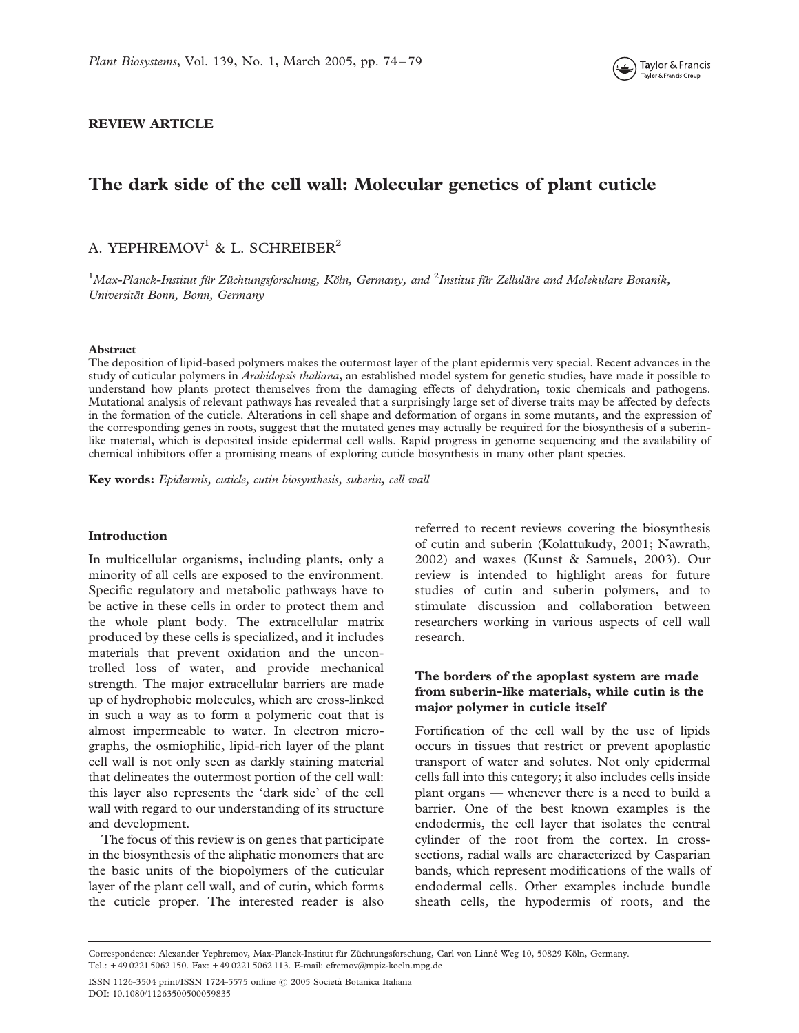

## REVIEW ARTICLE

# The dark side of the cell wall: Molecular genetics of plant cuticle

## A. YEPHREMOV<sup>1</sup> & L. SCHREIBER<sup>2</sup>

<sup>1</sup>Max-Planck-Institut für Züchtungsforschung, Köln, Germany, and <sup>2</sup>Institut für Zelluläre and Molekulare Botanik, Universität Bonn, Bonn, Germany

#### Abstract

The deposition of lipid-based polymers makes the outermost layer of the plant epidermis very special. Recent advances in the study of cuticular polymers in *Arabidopsis thaliana*, an established model system for genetic studies, have made it possible to understand how plants protect themselves from the damaging effects of dehydration, toxic chemicals and pathogens. Mutational analysis of relevant pathways has revealed that a surprisingly large set of diverse traits may be affected by defects in the formation of the cuticle. Alterations in cell shape and deformation of organs in some mutants, and the expression of the corresponding genes in roots, suggest that the mutated genes may actually be required for the biosynthesis of a suberinlike material, which is deposited inside epidermal cell walls. Rapid progress in genome sequencing and the availability of chemical inhibitors offer a promising means of exploring cuticle biosynthesis in many other plant species.

Key words: Epidermis, cuticle, cutin biosynthesis, suberin, cell wall

#### Introduction

In multicellular organisms, including plants, only a minority of all cells are exposed to the environment. Specific regulatory and metabolic pathways have to be active in these cells in order to protect them and the whole plant body. The extracellular matrix produced by these cells is specialized, and it includes materials that prevent oxidation and the uncontrolled loss of water, and provide mechanical strength. The major extracellular barriers are made up of hydrophobic molecules, which are cross-linked in such a way as to form a polymeric coat that is almost impermeable to water. In electron micrographs, the osmiophilic, lipid-rich layer of the plant cell wall is not only seen as darkly staining material that delineates the outermost portion of the cell wall: this layer also represents the 'dark side' of the cell wall with regard to our understanding of its structure and development.

The focus of this review is on genes that participate in the biosynthesis of the aliphatic monomers that are the basic units of the biopolymers of the cuticular layer of the plant cell wall, and of cutin, which forms the cuticle proper. The interested reader is also

referred to recent reviews covering the biosynthesis of cutin and suberin (Kolattukudy, 2001; Nawrath, 2002) and waxes (Kunst & Samuels, 2003). Our review is intended to highlight areas for future studies of cutin and suberin polymers, and to stimulate discussion and collaboration between researchers working in various aspects of cell wall research.

## The borders of the apoplast system are made from suberin-like materials, while cutin is the major polymer in cuticle itself

Fortification of the cell wall by the use of lipids occurs in tissues that restrict or prevent apoplastic transport of water and solutes. Not only epidermal cells fall into this category; it also includes cells inside plant organs — whenever there is a need to build a barrier. One of the best known examples is the endodermis, the cell layer that isolates the central cylinder of the root from the cortex. In crosssections, radial walls are characterized by Casparian bands, which represent modifications of the walls of endodermal cells. Other examples include bundle sheath cells, the hypodermis of roots, and the

Correspondence: Alexander Yephremov, Max-Planck-Institut für Züchtungsforschung, Carl von Linné Weg 10, 50829 Köln, Germany. Tel.: + 49 0221 5062 150. Fax: + 49 0221 5062 113. E-mail: efremov@mpiz-koeln.mpg.de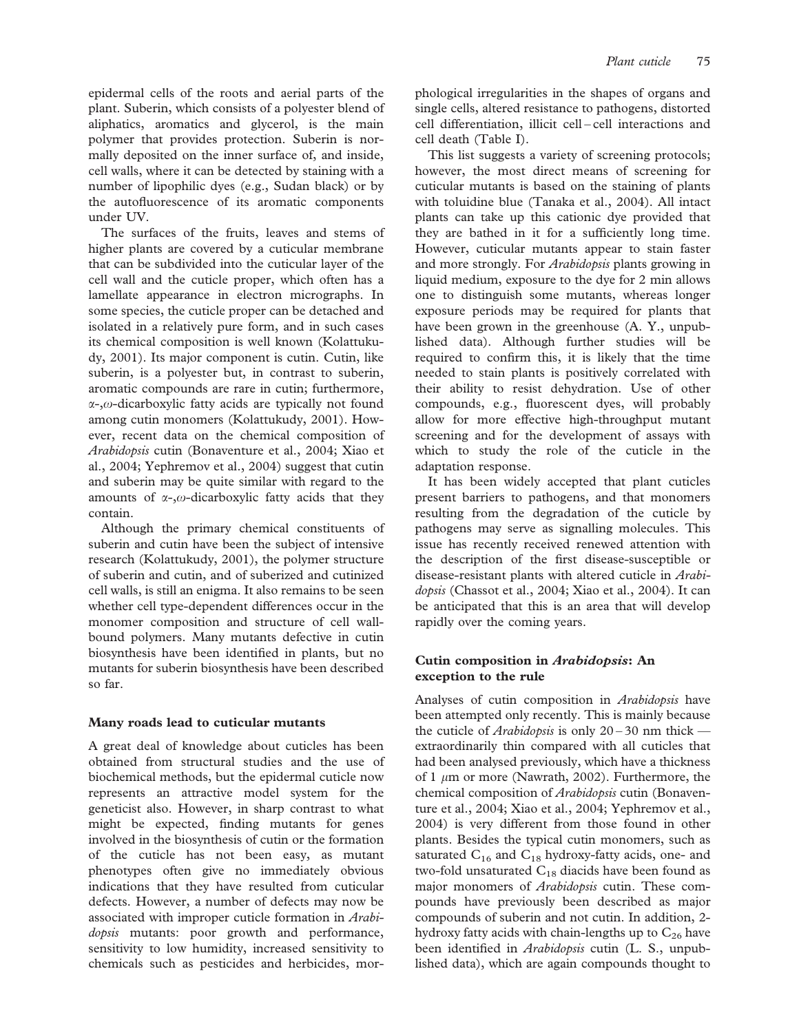epidermal cells of the roots and aerial parts of the plant. Suberin, which consists of a polyester blend of aliphatics, aromatics and glycerol, is the main polymer that provides protection. Suberin is normally deposited on the inner surface of, and inside, cell walls, where it can be detected by staining with a number of lipophilic dyes (e.g., Sudan black) or by the autofluorescence of its aromatic components under UV.

The surfaces of the fruits, leaves and stems of higher plants are covered by a cuticular membrane that can be subdivided into the cuticular layer of the cell wall and the cuticle proper, which often has a lamellate appearance in electron micrographs. In some species, the cuticle proper can be detached and isolated in a relatively pure form, and in such cases its chemical composition is well known (Kolattukudy, 2001). Its major component is cutin. Cutin, like suberin, is a polyester but, in contrast to suberin, aromatic compounds are rare in cutin; furthermore,  $\alpha$ -, $\omega$ -dicarboxylic fatty acids are typically not found among cutin monomers (Kolattukudy, 2001). However, recent data on the chemical composition of Arabidopsis cutin (Bonaventure et al., 2004; Xiao et al., 2004; Yephremov et al., 2004) suggest that cutin and suberin may be quite similar with regard to the amounts of  $\alpha$ -, $\omega$ -dicarboxylic fatty acids that they contain.

Although the primary chemical constituents of suberin and cutin have been the subject of intensive research (Kolattukudy, 2001), the polymer structure of suberin and cutin, and of suberized and cutinized cell walls, is still an enigma. It also remains to be seen whether cell type-dependent differences occur in the monomer composition and structure of cell wallbound polymers. Many mutants defective in cutin biosynthesis have been identified in plants, but no mutants for suberin biosynthesis have been described so far.

## Many roads lead to cuticular mutants

A great deal of knowledge about cuticles has been obtained from structural studies and the use of biochemical methods, but the epidermal cuticle now represents an attractive model system for the geneticist also. However, in sharp contrast to what might be expected, finding mutants for genes involved in the biosynthesis of cutin or the formation of the cuticle has not been easy, as mutant phenotypes often give no immediately obvious indications that they have resulted from cuticular defects. However, a number of defects may now be associated with improper cuticle formation in Arabidopsis mutants: poor growth and performance, sensitivity to low humidity, increased sensitivity to chemicals such as pesticides and herbicides, morphological irregularities in the shapes of organs and single cells, altered resistance to pathogens, distorted cell differentiation, illicit cell – cell interactions and cell death (Table I).

This list suggests a variety of screening protocols; however, the most direct means of screening for cuticular mutants is based on the staining of plants with toluidine blue (Tanaka et al., 2004). All intact plants can take up this cationic dye provided that they are bathed in it for a sufficiently long time. However, cuticular mutants appear to stain faster and more strongly. For Arabidopsis plants growing in liquid medium, exposure to the dye for 2 min allows one to distinguish some mutants, whereas longer exposure periods may be required for plants that have been grown in the greenhouse (A. Y., unpublished data). Although further studies will be required to confirm this, it is likely that the time needed to stain plants is positively correlated with their ability to resist dehydration. Use of other compounds, e.g., fluorescent dyes, will probably allow for more effective high-throughput mutant screening and for the development of assays with which to study the role of the cuticle in the adaptation response.

It has been widely accepted that plant cuticles present barriers to pathogens, and that monomers resulting from the degradation of the cuticle by pathogens may serve as signalling molecules. This issue has recently received renewed attention with the description of the first disease-susceptible or disease-resistant plants with altered cuticle in Arabidopsis (Chassot et al., 2004; Xiao et al., 2004). It can be anticipated that this is an area that will develop rapidly over the coming years.

## Cutin composition in Arabidopsis: An exception to the rule

Analyses of cutin composition in Arabidopsis have been attempted only recently. This is mainly because the cuticle of *Arabidopsis* is only  $20 - 30$  nm thick extraordinarily thin compared with all cuticles that had been analysed previously, which have a thickness of 1  $\mu$ m or more (Nawrath, 2002). Furthermore, the chemical composition of Arabidopsis cutin (Bonaventure et al., 2004; Xiao et al., 2004; Yephremov et al., 2004) is very different from those found in other plants. Besides the typical cutin monomers, such as saturated  $C_{16}$  and  $C_{18}$  hydroxy-fatty acids, one- and two-fold unsaturated  $C_{18}$  diacids have been found as major monomers of Arabidopsis cutin. These compounds have previously been described as major compounds of suberin and not cutin. In addition, 2 hydroxy fatty acids with chain-lengths up to  $C_{26}$  have been identified in *Arabidopsis* cutin (L. S., unpublished data), which are again compounds thought to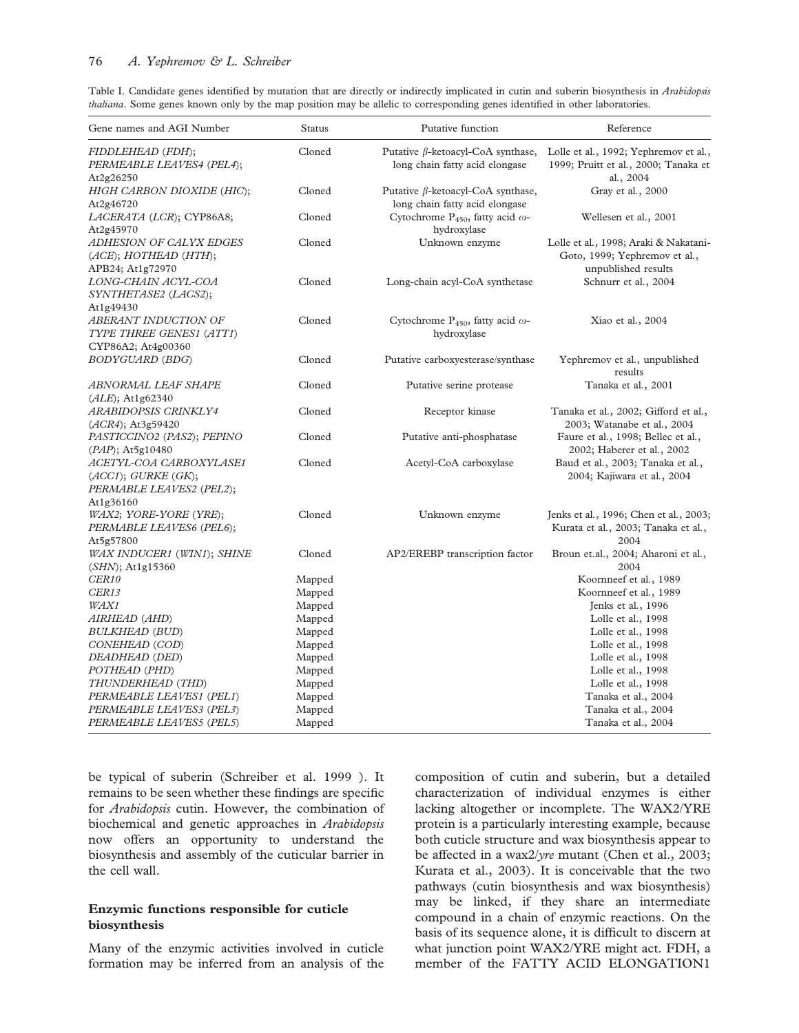#### 76 A. Yephremov & L. Schreiber

Table I. Candidate genes identified by mutation that are directly or indirectly implicated in cutin and suberin biosynthesis in Arabidopsis thaliana. Some genes known only by the map position may be allelic to corresponding genes identified in other laboratories.

| Gene names and AGI Number                                                     | Status           | Putative function                                                          | Reference                                                                                     |
|-------------------------------------------------------------------------------|------------------|----------------------------------------------------------------------------|-----------------------------------------------------------------------------------------------|
| FIDDLEHEAD (FDH);<br>PERMEABLE LEAVES4 (PEL4);<br>At2g26250                   | Cloned           | Putative $\beta$ -ketoacyl-CoA synthase,<br>long chain fatty acid elongase | Lolle et al., 1992; Yephremov et al.,<br>1999; Pruitt et al., 2000; Tanaka et<br>al., 2004    |
| HIGH CARBON DIOXIDE (HIC);<br>At2g46720                                       | Cloned           | Putative $\beta$ -ketoacyl-CoA synthase,<br>long chain fatty acid elongase | Gray et al., 2000                                                                             |
| LACERATA (LCR); CYP86A8;<br>At2g45970                                         | Cloned           | Cytochrome $P_{450}$ , fatty acid $\omega$ -<br>hydroxylase                | Wellesen et al., 2001                                                                         |
| ADHESION OF CALYX EDGES<br>$(ACE);$ HOTHEAD $(HTH);$<br>APB24; At1g72970      | Cloned           | Unknown enzyme                                                             | Lolle et al., 1998; Araki & Nakatani-<br>Goto, 1999; Yephremov et al.,<br>unpublished results |
| LONG-CHAIN ACYL-COA<br>SYNTHETASE2 (LACS2);<br>At1g49430                      | Cloned           | Long-chain acyl-CoA synthetase                                             | Schnurr et al., 2004                                                                          |
| <i>ABERANT INDUCTION OF</i><br>TYPE THREE GENES1 (ATT1)<br>CYP86A2; At4g00360 | Cloned           | Cytochrome P <sub>450</sub> , fatty acid $\omega$ -<br>hydroxylase         | Xiao et al., 2004                                                                             |
| BODYGUARD (BDG)                                                               | Cloned           | Putative carboxyesterase/synthase                                          | Yephremov et al., unpublished<br>results                                                      |
| ABNORMAL LEAF SHAPE<br>$(ALE)$ ; At1g62340                                    | Cloned           | Putative serine protease                                                   | Tanaka et al., 2001                                                                           |
| ARABIDOPSIS CRINKLY4<br>$(ACR4)$ ; At3g59420                                  | Cloned           | Receptor kinase                                                            | Tanaka et al., 2002; Gifford et al.,<br>2003; Watanabe et al., 2004                           |
| PASTICCINO2 (PAS2); PEPINO<br>$(PAP)$ ; At <sub>5g10480</sub>                 | Cloned           | Putative anti-phosphatase                                                  | Faure et al., 1998; Bellec et al.,<br>2002; Haberer et al., 2002                              |
| ACETYL-COA CARBOXYLASE1<br>(ACCI); GURKE (GK);<br>PERMABLE LEAVES2 (PEL2);    | Cloned           | Acetyl-CoA carboxylase                                                     | Baud et al., 2003; Tanaka et al.,<br>2004; Kajiwara et al., 2004                              |
| At1g36160<br>WAX2; YORE-YORE (YRE);<br>PERMABLE LEAVES6 (PEL6);<br>At5g57800  | Cloned           | Unknown enzyme                                                             | Jenks et al., 1996; Chen et al., 2003;<br>Kurata et al., 2003; Tanaka et al.,<br>2004         |
| WAX INDUCER1 (WIN1); SHINE<br>$(SHN)$ ; At1g15360                             | Cloned           | AP2/EREBP transcription factor                                             | Broun et.al., 2004; Aharoni et al.,<br>2004                                                   |
| CER10                                                                         | Mapped           |                                                                            | Koornneef et al., 1989                                                                        |
| CER13                                                                         | Mapped           |                                                                            | Koornneef et al., 1989                                                                        |
| WAX1                                                                          | Mapped           |                                                                            | Jenks et al., 1996                                                                            |
| AIRHEAD (AHD)                                                                 | Mapped           |                                                                            | Lolle et al., 1998                                                                            |
| BULKHEAD (BUD)                                                                | Mapped           |                                                                            | Lolle et al., 1998                                                                            |
| CONEHEAD (COD)                                                                | Mapped           |                                                                            | Lolle et al., 1998                                                                            |
| DEADHEAD (DED)                                                                | Mapped           |                                                                            | Lolle et al., 1998                                                                            |
| POTHEAD (PHD)                                                                 | Mapped           |                                                                            | Lolle et al., 1998                                                                            |
| THUNDERHEAD (THD)                                                             | Mapped           |                                                                            | Lolle et al., 1998                                                                            |
| PERMEABLE LEAVES1 (PEL1)                                                      | Mapped           |                                                                            | Tanaka et al., 2004                                                                           |
| PERMEABLE LEAVES3 (PEL3)<br>PERMEABLE LEAVES5 (PEL5)                          | Mapped<br>Mapped |                                                                            | Tanaka et al., 2004<br>Tanaka et al., 2004                                                    |

be typical of suberin (Schreiber et al. 1999 ). It remains to be seen whether these findings are specific for Arabidopsis cutin. However, the combination of biochemical and genetic approaches in Arabidopsis now offers an opportunity to understand the biosynthesis and assembly of the cuticular barrier in the cell wall.

## Enzymic functions responsible for cuticle biosynthesis

Many of the enzymic activities involved in cuticle formation may be inferred from an analysis of the composition of cutin and suberin, but a detailed characterization of individual enzymes is either lacking altogether or incomplete. The WAX2/YRE protein is a particularly interesting example, because both cuticle structure and wax biosynthesis appear to be affected in a wax2/yre mutant (Chen et al., 2003; Kurata et al., 2003). It is conceivable that the two pathways (cutin biosynthesis and wax biosynthesis) may be linked, if they share an intermediate compound in a chain of enzymic reactions. On the basis of its sequence alone, it is difficult to discern at what junction point WAX2/YRE might act. FDH, a member of the FATTY ACID ELONGATION1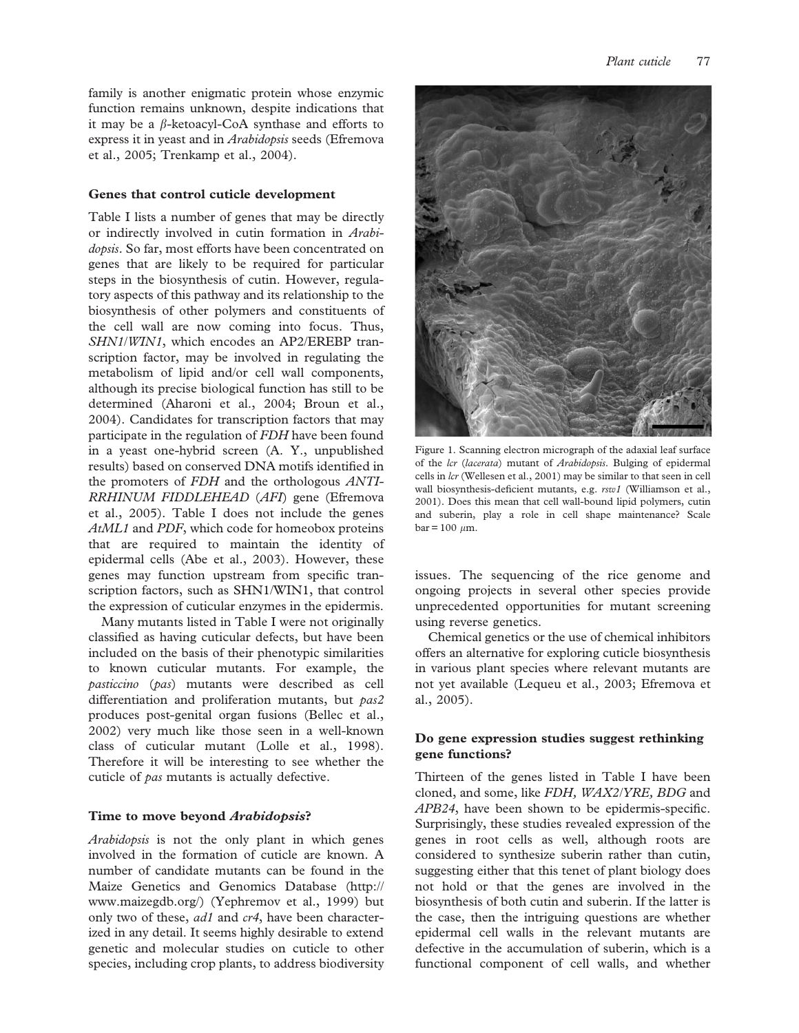family is another enigmatic protein whose enzymic function remains unknown, despite indications that it may be a  $\beta$ -ketoacyl-CoA synthase and efforts to express it in yeast and in Arabidopsis seeds (Efremova et al., 2005; Trenkamp et al., 2004).

#### Genes that control cuticle development

Table I lists a number of genes that may be directly or indirectly involved in cutin formation in Arabidopsis. So far, most efforts have been concentrated on genes that are likely to be required for particular steps in the biosynthesis of cutin. However, regulatory aspects of this pathway and its relationship to the biosynthesis of other polymers and constituents of the cell wall are now coming into focus. Thus, SHN1/WIN1, which encodes an AP2/EREBP transcription factor, may be involved in regulating the metabolism of lipid and/or cell wall components, although its precise biological function has still to be determined (Aharoni et al., 2004; Broun et al., 2004). Candidates for transcription factors that may participate in the regulation of FDH have been found in a yeast one-hybrid screen (A. Y., unpublished results) based on conserved DNA motifs identified in the promoters of FDH and the orthologous ANTI-RRHINUM FIDDLEHEAD (AFI) gene (Efremova et al., 2005). Table I does not include the genes AtML1 and PDF, which code for homeobox proteins that are required to maintain the identity of epidermal cells (Abe et al., 2003). However, these genes may function upstream from specific transcription factors, such as SHN1/WIN1, that control the expression of cuticular enzymes in the epidermis.

Many mutants listed in Table I were not originally classified as having cuticular defects, but have been included on the basis of their phenotypic similarities to known cuticular mutants. For example, the pasticcino (pas) mutants were described as cell differentiation and proliferation mutants, but pas2 produces post-genital organ fusions (Bellec et al., 2002) very much like those seen in a well-known class of cuticular mutant (Lolle et al., 1998). Therefore it will be interesting to see whether the cuticle of pas mutants is actually defective.

## Time to move beyond Arabidopsis?

Arabidopsis is not the only plant in which genes involved in the formation of cuticle are known. A number of candidate mutants can be found in the Maize Genetics and Genomics Database (http:// www.maizegdb.org/) (Yephremov et al., 1999) but only two of these, *ad1* and *cr4*, have been characterized in any detail. It seems highly desirable to extend genetic and molecular studies on cuticle to other species, including crop plants, to address biodiversity



Figure 1. Scanning electron micrograph of the adaxial leaf surface of the lcr (lacerata) mutant of Arabidopsis. Bulging of epidermal cells in  $\text{Ler}$  (Wellesen et al., 2001) may be similar to that seen in cell wall biosynthesis-deficient mutants, e.g.  $rsw1$  (Williamson et al., 2001). Does this mean that cell wall-bound lipid polymers, cutin and suberin, play a role in cell shape maintenance? Scale  $bar = 100 \mu m$ .

issues. The sequencing of the rice genome and ongoing projects in several other species provide unprecedented opportunities for mutant screening using reverse genetics.

Chemical genetics or the use of chemical inhibitors offers an alternative for exploring cuticle biosynthesis in various plant species where relevant mutants are not yet available (Lequeu et al., 2003; Efremova et al., 2005).

## Do gene expression studies suggest rethinking gene functions?

Thirteen of the genes listed in Table I have been cloned, and some, like FDH, WAX2/YRE, BDG and APB24, have been shown to be epidermis-specific. Surprisingly, these studies revealed expression of the genes in root cells as well, although roots are considered to synthesize suberin rather than cutin, suggesting either that this tenet of plant biology does not hold or that the genes are involved in the biosynthesis of both cutin and suberin. If the latter is the case, then the intriguing questions are whether epidermal cell walls in the relevant mutants are defective in the accumulation of suberin, which is a functional component of cell walls, and whether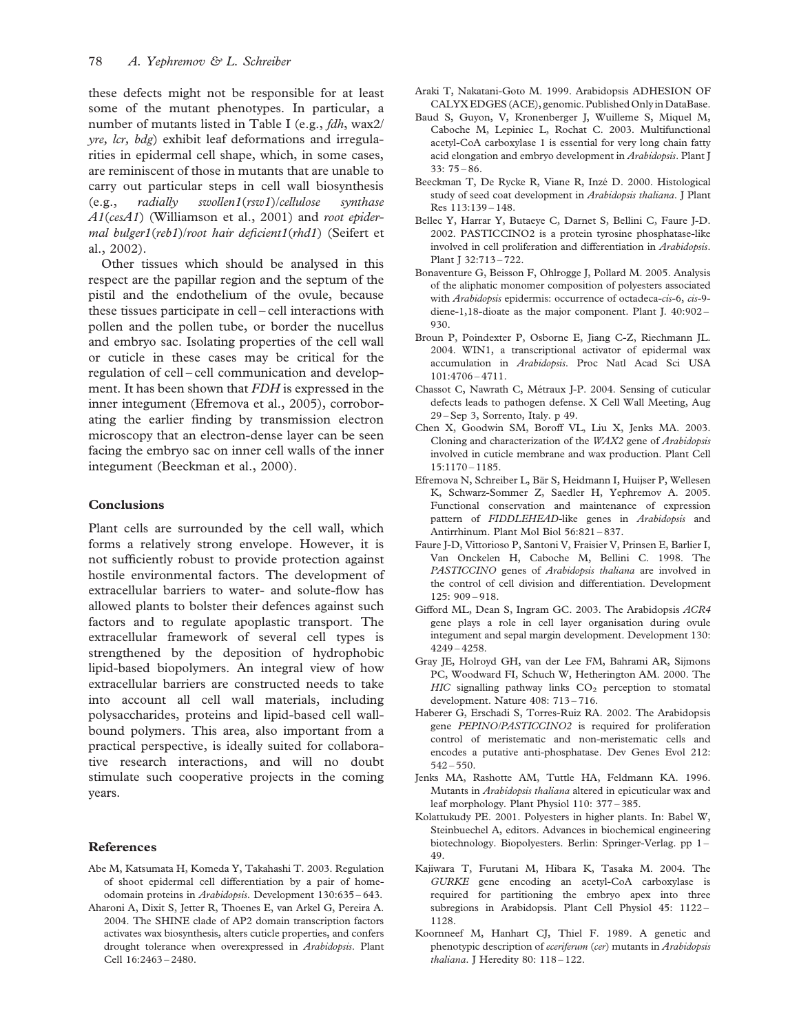these defects might not be responsible for at least some of the mutant phenotypes. In particular, a number of mutants listed in Table I (e.g.,  $fdh$ , wax2/ yre, lcr, bdg) exhibit leaf deformations and irregularities in epidermal cell shape, which, in some cases, are reminiscent of those in mutants that are unable to carry out particular steps in cell wall biosynthesis (e.g., radially swollen1(rsw1)/cellulose synthase A1(cesA1) (Williamson et al., 2001) and root epidermal bulger1(reb1)/root hair deficient1(rhd1) (Seifert et al., 2002).

Other tissues which should be analysed in this respect are the papillar region and the septum of the pistil and the endothelium of the ovule, because these tissues participate in cell – cell interactions with pollen and the pollen tube, or border the nucellus and embryo sac. Isolating properties of the cell wall or cuticle in these cases may be critical for the regulation of cell – cell communication and development. It has been shown that FDH is expressed in the inner integument (Efremova et al., 2005), corroborating the earlier finding by transmission electron microscopy that an electron-dense layer can be seen facing the embryo sac on inner cell walls of the inner integument (Beeckman et al., 2000).

## **Conclusions**

Plant cells are surrounded by the cell wall, which forms a relatively strong envelope. However, it is not sufficiently robust to provide protection against hostile environmental factors. The development of extracellular barriers to water- and solute-flow has allowed plants to bolster their defences against such factors and to regulate apoplastic transport. The extracellular framework of several cell types is strengthened by the deposition of hydrophobic lipid-based biopolymers. An integral view of how extracellular barriers are constructed needs to take into account all cell wall materials, including polysaccharides, proteins and lipid-based cell wallbound polymers. This area, also important from a practical perspective, is ideally suited for collaborative research interactions, and will no doubt stimulate such cooperative projects in the coming years.

#### References

- Abe M, Katsumata H, Komeda Y, Takahashi T. 2003. Regulation of shoot epidermal cell differentiation by a pair of homeodomain proteins in Arabidopsis. Development 130:635 – 643.
- Aharoni A, Dixit S, Jetter R, Thoenes E, van Arkel G, Pereira A. 2004. The SHINE clade of AP2 domain transcription factors activates wax biosynthesis, alters cuticle properties, and confers drought tolerance when overexpressed in Arabidopsis. Plant Cell 16:2463 – 2480.
- Araki T, Nakatani-Goto M. 1999. Arabidopsis ADHESION OF CALYX EDGES (ACE), genomic. Published Only in DataBase.
- Baud S, Guyon, V, Kronenberger J, Wuilleme S, Miquel M, Caboche M, Lepiniec L, Rochat C. 2003. Multifunctional acetyl-CoA carboxylase 1 is essential for very long chain fatty acid elongation and embryo development in Arabidopsis. Plant J 33: 75 – 86.
- Beeckman T, De Rycke R, Viane R, Inzé D. 2000. Histological study of seed coat development in Arabidopsis thaliana. J Plant Res 113:139 – 148.
- Bellec Y, Harrar Y, Butaeye C, Darnet S, Bellini C, Faure J-D. 2002. PASTICCINO2 is a protein tyrosine phosphatase-like involved in cell proliferation and differentiation in Arabidopsis. Plant J 32:713 – 722.
- Bonaventure G, Beisson F, Ohlrogge J, Pollard M. 2005. Analysis of the aliphatic monomer composition of polyesters associated with Arabidopsis epidermis: occurrence of octadeca-cis-6, cis-9 diene-1,18-dioate as the major component. Plant J. 40:902 – 930.
- Broun P, Poindexter P, Osborne E, Jiang C-Z, Riechmann JL. 2004. WIN1, a transcriptional activator of epidermal wax accumulation in Arabidopsis. Proc Natl Acad Sci USA 101:4706 – 4711.
- Chassot C, Nawrath C, Métraux J-P. 2004. Sensing of cuticular defects leads to pathogen defense. X Cell Wall Meeting, Aug 29 – Sep 3, Sorrento, Italy. p 49.
- Chen X, Goodwin SM, Boroff VL, Liu X, Jenks MA. 2003. Cloning and characterization of the WAX2 gene of Arabidopsis involved in cuticle membrane and wax production. Plant Cell 15:1170 – 1185.
- Efremova N, Schreiber L, Bär S, Heidmann I, Huijser P, Wellesen K, Schwarz-Sommer Z, Saedler H, Yephremov A. 2005. Functional conservation and maintenance of expression pattern of FIDDLEHEAD-like genes in Arabidopsis and Antirrhinum. Plant Mol Biol 56:821 – 837.
- Faure J-D, Vittorioso P, Santoni V, Fraisier V, Prinsen E, Barlier I, Van Onckelen H, Caboche M, Bellini C. 1998. The PASTICCINO genes of Arabidopsis thaliana are involved in the control of cell division and differentiation. Development 125: 909 – 918.
- Gifford ML, Dean S, Ingram GC. 2003. The Arabidopsis ACR4 gene plays a role in cell layer organisation during ovule integument and sepal margin development. Development 130: 4249 – 4258.
- Gray JE, Holroyd GH, van der Lee FM, Bahrami AR, Sijmons PC, Woodward FI, Schuch W, Hetherington AM. 2000. The  $HIC$  signalling pathway links  $CO<sub>2</sub>$  perception to stomatal development. Nature 408: 713 – 716.
- Haberer G, Erschadi S, Torres-Ruiz RA. 2002. The Arabidopsis gene PEPINO/PASTICCINO2 is required for proliferation control of meristematic and non-meristematic cells and encodes a putative anti-phosphatase. Dev Genes Evol 212: 542 – 550.
- Jenks MA, Rashotte AM, Tuttle HA, Feldmann KA. 1996. Mutants in Arabidopsis thaliana altered in epicuticular wax and leaf morphology. Plant Physiol 110: 377 – 385.
- Kolattukudy PE. 2001. Polyesters in higher plants. In: Babel W, Steinbuechel A, editors. Advances in biochemical engineering biotechnology. Biopolyesters. Berlin: Springer-Verlag. pp 1 – 49.
- Kajiwara T, Furutani M, Hibara K, Tasaka M. 2004. The GURKE gene encoding an acetyl-CoA carboxylase is required for partitioning the embryo apex into three subregions in Arabidopsis. Plant Cell Physiol 45: 1122 – 1128.
- Koornneef M, Hanhart CJ, Thiel F. 1989. A genetic and phenotypic description of eceriferum (cer) mutants in Arabidopsis thaliana. J Heredity 80: 118-122.